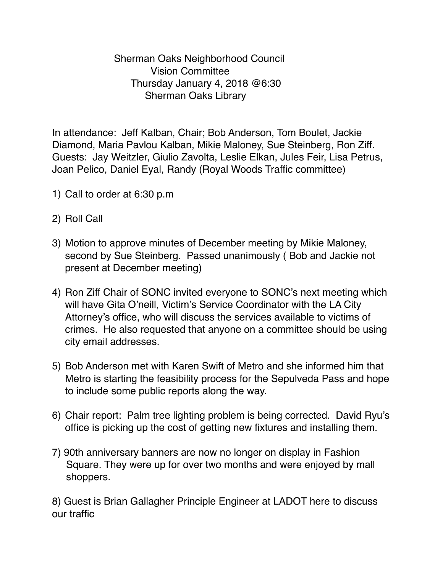Sherman Oaks Neighborhood Council Vision Committee Thursday January 4, 2018 @6:30 Sherman Oaks Library

In attendance: Jeff Kalban, Chair; Bob Anderson, Tom Boulet, Jackie Diamond, Maria Pavlou Kalban, Mikie Maloney, Sue Steinberg, Ron Ziff. Guests: Jay Weitzler, Giulio Zavolta, Leslie Elkan, Jules Feir, Lisa Petrus, Joan Pelico, Daniel Eyal, Randy (Royal Woods Traffic committee)

- 1) Call to order at 6:30 p.m
- 2) Roll Call
- 3) Motion to approve minutes of December meeting by Mikie Maloney, second by Sue Steinberg. Passed unanimously ( Bob and Jackie not present at December meeting)
- 4) Ron Ziff Chair of SONC invited everyone to SONC's next meeting which will have Gita O'neill, Victim's Service Coordinator with the LA City Attorney's office, who will discuss the services available to victims of crimes. He also requested that anyone on a committee should be using city email addresses.
- 5) Bob Anderson met with Karen Swift of Metro and she informed him that Metro is starting the feasibility process for the Sepulveda Pass and hope to include some public reports along the way.
- 6) Chair report: Palm tree lighting problem is being corrected. David Ryu's office is picking up the cost of getting new fixtures and installing them.
- 7) 90th anniversary banners are now no longer on display in Fashion Square. They were up for over two months and were enjoyed by mall shoppers.

8) Guest is Brian Gallagher Principle Engineer at LADOT here to discuss our traffic